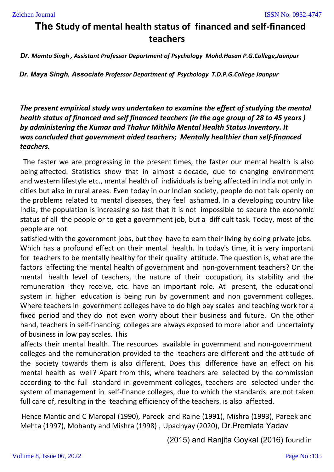# **The Study of mental health status of financed and self-financed teachers**

*Dr. Mamta Singh , Assistant Professor Department of Psychology Mohd.Hasan P.G.College,Jaunpur*

*Dr. Maya Singh, Associate Professor Department of Psychology T.D.P.G.College Jaunpur*

*The present empirical study was undertaken to examine the effect of studying the mental health status of financed and self financed teachers (in the age group of 28 to 45 years ) by administering the Kumar and Thakur Mithila Mental Health Status Inventory. It was concluded that government aided teachers; Mentally healthier than self-financed teachers.*

The faster we are progressing in the present times, the faster our mental health is also being affected. Statistics show that in almost a decade, due to changing environment and western lifestyle etc., mental health of individuals is being affected in India not only in cities but also in rural areas. Even today in our Indian society, people do not talk openly on the problems related to mental diseases, they feel ashamed. In a developing country like India, the population is increasing so fast that it is not impossible to secure the economic status of all the people or to get a government job, but a difficult task. Today, most of the people are not

satisfied with the government jobs, but they have to earn their living by doing private jobs. Which has a profound effect on their mental health. In today's time, it is very important for teachers to be mentally healthy for their quality attitude. The question is, what are the factors affecting the mental health of government and non-government teachers? On the mental health level of teachers, the nature of their occupation, its stability and the remuneration they receive, etc. have an important role. At present, the educational system in higher education is being run by government and non government colleges. Where teachers in government colleges have to do high pay scales and teaching work for a fixed period and they do not even worry about their business and future. On the other hand, teachers in self-financing colleges are always exposed to more labor and uncertainty of business in low pay scales. This

affects their mental health. The resources available in government and non-government colleges and the remuneration provided to the teachers are different and the attitude of the society towards them is also different. Does this difference have an effect on his mental health as well? Apart from this, where teachers are selected by the commission according to the full standard in government colleges, teachers are selected under the system of management in self-finance colleges, due to which the standards are not taken full care of, resulting in the teaching efficiency of the teachers. is also affected.

Hence Mantic and C Maropal (1990), Pareek and Raine (1991), Mishra (1993), Pareek and Mehta (1997), Mohanty and Mishra (1998) , Upadhyay (2020), Dr.Premlata Yadav

(2015) and Ranjita Goykal (2016) found in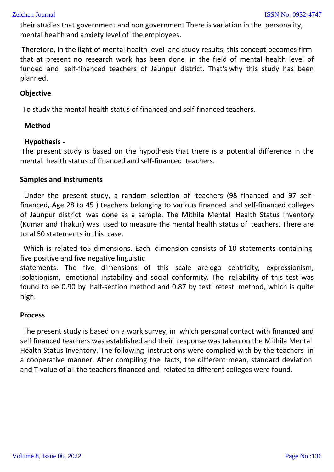their studies that government and non government There is variation in the personality, mental health and anxiety level of the employees.

Therefore, in the light of mental health level and study results, this concept becomes firm that at present no research work has been done in the field of mental health level of funded and self-financed teachers of Jaunpur district. That's why this study has been planned.

## **Objective**

To study the mental health status of financed and self-financed teachers.

### **Method**

### **Hypothesis -**

The present study is based on the hypothesis that there is a potential difference in the mental health status of financed and self-financed teachers.

### **Samples and Instruments**

Under the present study, a random selection of teachers (98 financed and 97 selffinanced, Age 28 to 45 ) teachers belonging to various financed and self-financed colleges of Jaunpur district was done as a sample. The Mithila Mental Health Status Inventory (Kumar and Thakur) was used to measure the mental health status of teachers. There are total 50 statements in this case.

Which is related to5 dimensions. Each dimension consists of 10 statements containing five positive and five negative linguistic

statements. The five dimensions of this scale are ego centricity, expressionism, isolationism, emotional instability and social conformity. The reliability of this test was found to be 0.90 by half-section method and 0.87 by test' retest method, which is quite high.

### **Process**

The present study is based on a work survey, in which personal contact with financed and self financed teachers was established and their response was taken on the Mithila Mental Health Status Inventory. The following instructions were complied with by the teachers in a cooperative manner. After compiling the facts, the different mean, standard deviation and T-value of all the teachers financed and related to different colleges were found.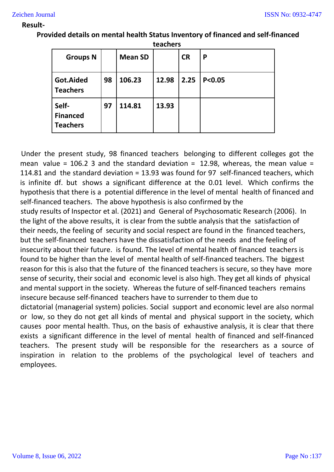#### **Result-**

| <b>Groups N</b>                             |    | <b>Mean SD</b> |       | <b>CR</b> | Ρ        |
|---------------------------------------------|----|----------------|-------|-----------|----------|
| Got.Aided<br><b>Teachers</b>                | 98 | 106.23         | 12.98 | 2.25      | P < 0.05 |
| Self-<br><b>Financed</b><br><b>Teachers</b> | 97 | 114.81         | 13.93 |           |          |

**Provided details on mental health Status Inventory of financed and self-financed teachers**

Under the present study, 98 financed teachers belonging to different colleges got the mean value = 106.2 3 and the standard deviation = 12.98, whereas, the mean value = 114.81 and the standard deviation = 13.93 was found for 97 self-financed teachers, which is infinite df. but shows a significant difference at the 0.01 level. Which confirms the hypothesis that there is a potential difference in the level of mental health of financed and self-financed teachers. The above hypothesis is also confirmed by the

study results of Inspector et al. (2021) and General of Psychosomatic Research (2006). In the light of the above results, it is clear from the subtle analysis that the satisfaction of their needs, the feeling of security and social respect are found in the financed teachers, but the self-financed teachers have the dissatisfaction of the needs and the feeling of insecurity about their future. is found. The level of mental health of financed teachers is found to be higher than the level of mental health of self-financed teachers. The biggest reason for this is also that the future of the financed teachers is secure, so they have more sense of security, their social and economic level is also high. They get all kinds of physical and mental support in the society. Whereas the future of self-financed teachers remains insecure because self-financed teachers have to surrender to them due to dictatorial (managerial system) policies. Social support and economic level are also normal

or low, so they do not get all kinds of mental and physical support in the society, which causes poor mental health. Thus, on the basis of exhaustive analysis, it is clear that there exists a significant difference in the level of mental health of financed and self-financed teachers. The present study will be responsible for the researchers as a source of inspiration in relation to the problems of the psychological level of teachers and employees.